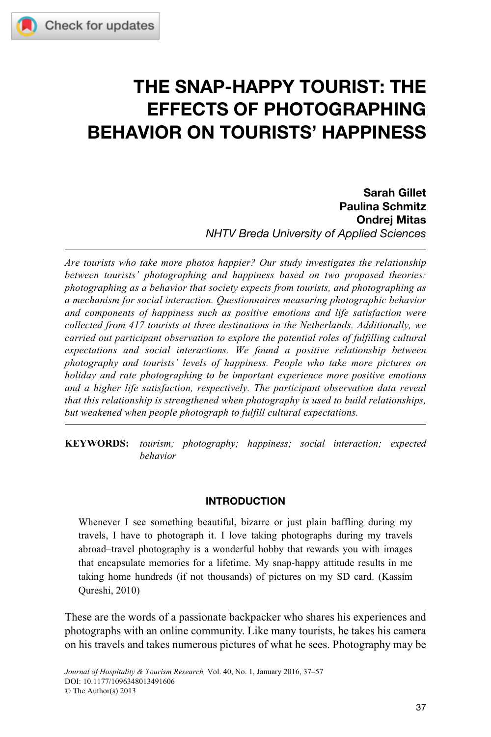# The Snap-Happy Tourist: The Effects Of Photographing Behavior On Tourists' Happiness

Sarah Gillet Paulina Schmitz Ondrej Mitas *NHTV Breda University of Applied Sciences*

*Are tourists who take more photos happier? Our study investigates the relationship between tourists' photographing and happiness based on two proposed theories: photographing as a behavior that society expects from tourists, and photographing as a mechanism for social interaction. Questionnaires measuring photographic behavior and components of happiness such as positive emotions and life satisfaction were collected from 417 tourists at three destinations in the Netherlands. Additionally, we carried out participant observation to explore the potential roles of fulfilling cultural*  expectations and social interactions. We found a positive relationship between *photography and tourists' levels of happiness. People who take more pictures on holiday and rate photographing to be important experience more positive emotions and a higher life satisfaction, respectively. The participant observation data reveal that this relationship is strengthened when photography is used to build relationships, but weakened when people photograph to fulfill cultural expectations.*

**Keywords:** *tourism; photography; happiness; social interaction; expected behavior*

## **INTRODUCTION**

Whenever I see something beautiful, bizarre or just plain baffling during my travels, I have to photograph it. I love taking photographs during my travels abroad–travel photography is a wonderful hobby that rewards you with images that encapsulate memories for a lifetime. My snap-happy attitude results in me taking home hundreds (if not thousands) of pictures on my SD card. (Kassim Qureshi, 2010)

These are the words of a passionate backpacker who shares his experiences and photographs with an online community. Like many tourists, he takes his camera on his travels and takes numerous pictures of what he sees. Photography may be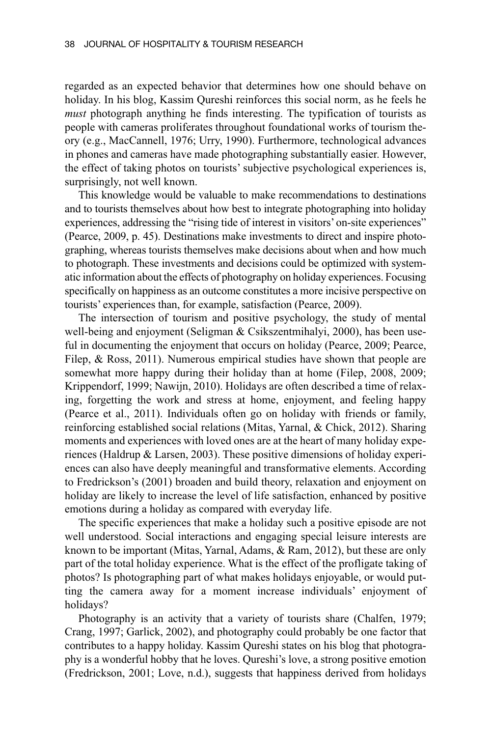regarded as an expected behavior that determines how one should behave on holiday. In his blog, Kassim Qureshi reinforces this social norm, as he feels he *must* photograph anything he finds interesting. The typification of tourists as people with cameras proliferates throughout foundational works of tourism theory (e.g., MacCannell, 1976; Urry, 1990). Furthermore, technological advances in phones and cameras have made photographing substantially easier. However, the effect of taking photos on tourists' subjective psychological experiences is, surprisingly, not well known.

This knowledge would be valuable to make recommendations to destinations and to tourists themselves about how best to integrate photographing into holiday experiences, addressing the "rising tide of interest in visitors' on-site experiences" (Pearce, 2009, p. 45). Destinations make investments to direct and inspire photographing, whereas tourists themselves make decisions about when and how much to photograph. These investments and decisions could be optimized with systematic information about the effects of photography on holiday experiences. Focusing specifically on happiness as an outcome constitutes a more incisive perspective on tourists' experiences than, for example, satisfaction (Pearce, 2009).

The intersection of tourism and positive psychology, the study of mental well-being and enjoyment (Seligman & Csikszentmihalyi, 2000), has been useful in documenting the enjoyment that occurs on holiday (Pearce, 2009; Pearce, Filep, & Ross, 2011). Numerous empirical studies have shown that people are somewhat more happy during their holiday than at home (Filep, 2008, 2009; Krippendorf, 1999; Nawijn, 2010). Holidays are often described a time of relaxing, forgetting the work and stress at home, enjoyment, and feeling happy (Pearce et al., 2011). Individuals often go on holiday with friends or family, reinforcing established social relations (Mitas, Yarnal, & Chick, 2012). Sharing moments and experiences with loved ones are at the heart of many holiday experiences (Haldrup & Larsen, 2003). These positive dimensions of holiday experiences can also have deeply meaningful and transformative elements. According to Fredrickson's (2001) broaden and build theory, relaxation and enjoyment on holiday are likely to increase the level of life satisfaction, enhanced by positive emotions during a holiday as compared with everyday life.

The specific experiences that make a holiday such a positive episode are not well understood. Social interactions and engaging special leisure interests are known to be important (Mitas, Yarnal, Adams, & Ram, 2012), but these are only part of the total holiday experience. What is the effect of the profligate taking of photos? Is photographing part of what makes holidays enjoyable, or would putting the camera away for a moment increase individuals' enjoyment of holidays?

Photography is an activity that a variety of tourists share (Chalfen, 1979; Crang, 1997; Garlick, 2002), and photography could probably be one factor that contributes to a happy holiday. Kassim Qureshi states on his blog that photography is a wonderful hobby that he loves. Qureshi's love, a strong positive emotion (Fredrickson, 2001; Love, n.d.), suggests that happiness derived from holidays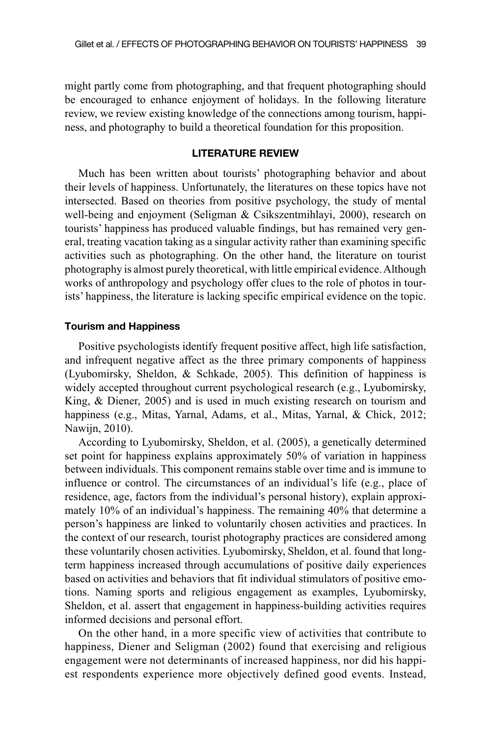might partly come from photographing, and that frequent photographing should be encouraged to enhance enjoyment of holidays. In the following literature review, we review existing knowledge of the connections among tourism, happiness, and photography to build a theoretical foundation for this proposition.

## Literature Review

Much has been written about tourists' photographing behavior and about their levels of happiness. Unfortunately, the literatures on these topics have not intersected. Based on theories from positive psychology, the study of mental well-being and enjoyment (Seligman & Csikszentmihlayi, 2000), research on tourists' happiness has produced valuable findings, but has remained very general, treating vacation taking as a singular activity rather than examining specific activities such as photographing. On the other hand, the literature on tourist photography is almost purely theoretical, with little empirical evidence. Although works of anthropology and psychology offer clues to the role of photos in tourists' happiness, the literature is lacking specific empirical evidence on the topic.

#### Tourism and Happiness

Positive psychologists identify frequent positive affect, high life satisfaction, and infrequent negative affect as the three primary components of happiness (Lyubomirsky, Sheldon, & Schkade, 2005). This definition of happiness is widely accepted throughout current psychological research (e.g., Lyubomirsky, King, & Diener, 2005) and is used in much existing research on tourism and happiness (e.g., Mitas, Yarnal, Adams, et al., Mitas, Yarnal, & Chick, 2012; Nawijn, 2010).

According to Lyubomirsky, Sheldon, et al. (2005), a genetically determined set point for happiness explains approximately 50% of variation in happiness between individuals. This component remains stable over time and is immune to influence or control. The circumstances of an individual's life (e.g., place of residence, age, factors from the individual's personal history), explain approximately 10% of an individual's happiness. The remaining 40% that determine a person's happiness are linked to voluntarily chosen activities and practices. In the context of our research, tourist photography practices are considered among these voluntarily chosen activities. Lyubomirsky, Sheldon, et al. found that longterm happiness increased through accumulations of positive daily experiences based on activities and behaviors that fit individual stimulators of positive emotions. Naming sports and religious engagement as examples, Lyubomirsky, Sheldon, et al. assert that engagement in happiness-building activities requires informed decisions and personal effort.

On the other hand, in a more specific view of activities that contribute to happiness, Diener and Seligman (2002) found that exercising and religious engagement were not determinants of increased happiness, nor did his happiest respondents experience more objectively defined good events. Instead,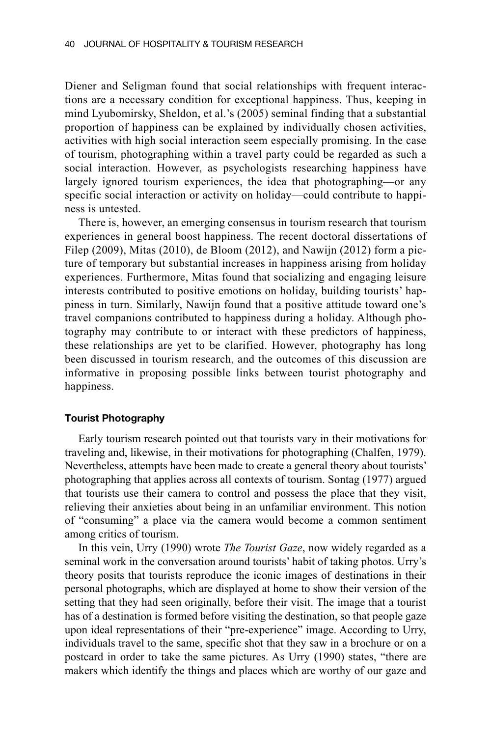Diener and Seligman found that social relationships with frequent interactions are a necessary condition for exceptional happiness. Thus, keeping in mind Lyubomirsky, Sheldon, et al.'s (2005) seminal finding that a substantial proportion of happiness can be explained by individually chosen activities, activities with high social interaction seem especially promising. In the case of tourism, photographing within a travel party could be regarded as such a social interaction. However, as psychologists researching happiness have largely ignored tourism experiences, the idea that photographing—or any specific social interaction or activity on holiday—could contribute to happiness is untested.

There is, however, an emerging consensus in tourism research that tourism experiences in general boost happiness. The recent doctoral dissertations of Filep (2009), Mitas (2010), de Bloom (2012), and Nawijn (2012) form a picture of temporary but substantial increases in happiness arising from holiday experiences. Furthermore, Mitas found that socializing and engaging leisure interests contributed to positive emotions on holiday, building tourists' happiness in turn. Similarly, Nawijn found that a positive attitude toward one's travel companions contributed to happiness during a holiday. Although photography may contribute to or interact with these predictors of happiness, these relationships are yet to be clarified. However, photography has long been discussed in tourism research, and the outcomes of this discussion are informative in proposing possible links between tourist photography and happiness.

## Tourist Photography

Early tourism research pointed out that tourists vary in their motivations for traveling and, likewise, in their motivations for photographing (Chalfen, 1979). Nevertheless, attempts have been made to create a general theory about tourists' photographing that applies across all contexts of tourism. Sontag (1977) argued that tourists use their camera to control and possess the place that they visit, relieving their anxieties about being in an unfamiliar environment. This notion of "consuming" a place via the camera would become a common sentiment among critics of tourism.

In this vein, Urry (1990) wrote *The Tourist Gaze*, now widely regarded as a seminal work in the conversation around tourists' habit of taking photos. Urry's theory posits that tourists reproduce the iconic images of destinations in their personal photographs, which are displayed at home to show their version of the setting that they had seen originally, before their visit. The image that a tourist has of a destination is formed before visiting the destination, so that people gaze upon ideal representations of their "pre-experience" image. According to Urry, individuals travel to the same, specific shot that they saw in a brochure or on a postcard in order to take the same pictures. As Urry (1990) states, "there are makers which identify the things and places which are worthy of our gaze and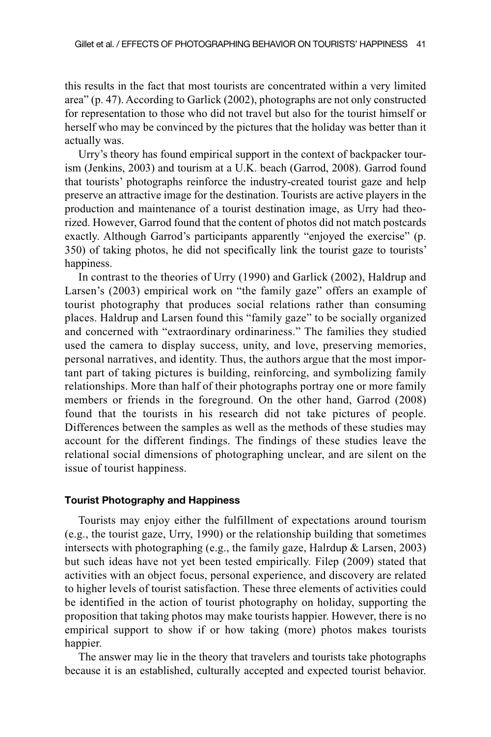this results in the fact that most tourists are concentrated within a very limited area" (p. 47). According to Garlick (2002), photographs are not only constructed for representation to those who did not travel but also for the tourist himself or herself who may be convinced by the pictures that the holiday was better than it actually was.

Urry's theory has found empirical support in the context of backpacker tourism (Jenkins, 2003) and tourism at a U.K. beach (Garrod, 2008). Garrod found that tourists' photographs reinforce the industry-created tourist gaze and help preserve an attractive image for the destination. Tourists are active players in the production and maintenance of a tourist destination image, as Urry had theorized. However, Garrod found that the content of photos did not match postcards exactly. Although Garrod's participants apparently "enjoyed the exercise" (p. 350) of taking photos, he did not specifically link the tourist gaze to tourists' happiness.

In contrast to the theories of Urry (1990) and Garlick (2002), Haldrup and Larsen's (2003) empirical work on "the family gaze" offers an example of tourist photography that produces social relations rather than consuming places. Haldrup and Larsen found this "family gaze" to be socially organized and concerned with "extraordinary ordinariness." The families they studied used the camera to display success, unity, and love, preserving memories, personal narratives, and identity. Thus, the authors argue that the most important part of taking pictures is building, reinforcing, and symbolizing family relationships. More than half of their photographs portray one or more family members or friends in the foreground. On the other hand, Garrod (2008) found that the tourists in his research did not take pictures of people. Differences between the samples as well as the methods of these studies may account for the different findings. The findings of these studies leave the relational social dimensions of photographing unclear, and are silent on the issue of tourist happiness.

## Tourist Photography and Happiness

Tourists may enjoy either the fulfillment of expectations around tourism (e.g., the tourist gaze, Urry, 1990) or the relationship building that sometimes intersects with photographing (e.g., the family gaze, Halrdup & Larsen, 2003) but such ideas have not yet been tested empirically. Filep (2009) stated that activities with an object focus, personal experience, and discovery are related to higher levels of tourist satisfaction. These three elements of activities could be identified in the action of tourist photography on holiday, supporting the proposition that taking photos may make tourists happier. However, there is no empirical support to show if or how taking (more) photos makes tourists happier.

The answer may lie in the theory that travelers and tourists take photographs because it is an established, culturally accepted and expected tourist behavior.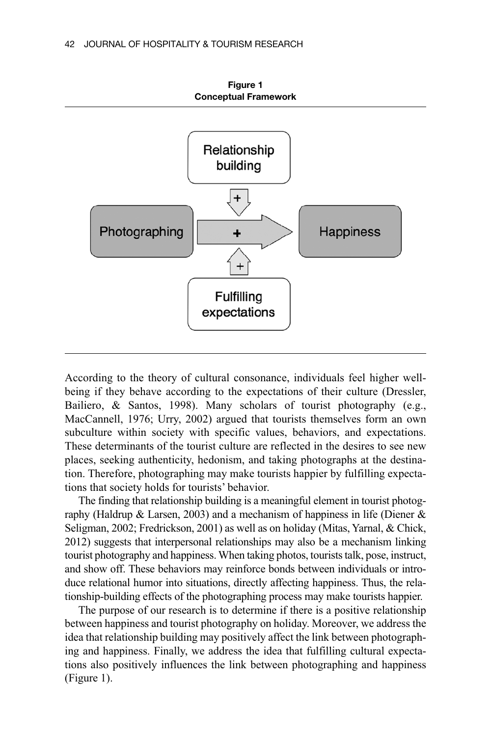

Figure 1 Conceptual Framework

According to the theory of cultural consonance, individuals feel higher wellbeing if they behave according to the expectations of their culture (Dressler, Bailiero, & Santos, 1998). Many scholars of tourist photography (e.g., MacCannell, 1976; Urry, 2002) argued that tourists themselves form an own subculture within society with specific values, behaviors, and expectations. These determinants of the tourist culture are reflected in the desires to see new places, seeking authenticity, hedonism, and taking photographs at the destination. Therefore, photographing may make tourists happier by fulfilling expectations that society holds for tourists' behavior.

The finding that relationship building is a meaningful element in tourist photography (Haldrup & Larsen, 2003) and a mechanism of happiness in life (Diener & Seligman, 2002; Fredrickson, 2001) as well as on holiday (Mitas, Yarnal, & Chick, 2012) suggests that interpersonal relationships may also be a mechanism linking tourist photography and happiness. When taking photos, tourists talk, pose, instruct, and show off. These behaviors may reinforce bonds between individuals or introduce relational humor into situations, directly affecting happiness. Thus, the relationship-building effects of the photographing process may make tourists happier.

The purpose of our research is to determine if there is a positive relationship between happiness and tourist photography on holiday. Moreover, we address the idea that relationship building may positively affect the link between photographing and happiness. Finally, we address the idea that fulfilling cultural expectations also positively influences the link between photographing and happiness (Figure 1).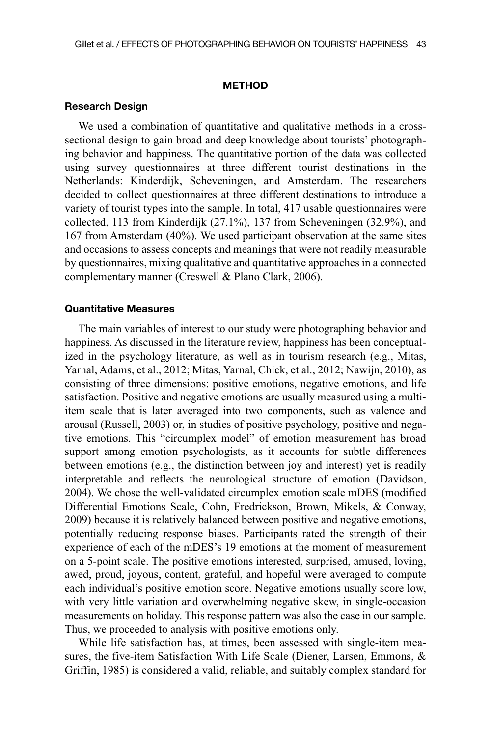## **METHOD**

#### Research Design

We used a combination of quantitative and qualitative methods in a crosssectional design to gain broad and deep knowledge about tourists' photographing behavior and happiness. The quantitative portion of the data was collected using survey questionnaires at three different tourist destinations in the Netherlands: Kinderdijk, Scheveningen, and Amsterdam. The researchers decided to collect questionnaires at three different destinations to introduce a variety of tourist types into the sample. In total, 417 usable questionnaires were collected, 113 from Kinderdijk (27.1%), 137 from Scheveningen (32.9%), and 167 from Amsterdam (40%). We used participant observation at the same sites and occasions to assess concepts and meanings that were not readily measurable by questionnaires, mixing qualitative and quantitative approaches in a connected complementary manner (Creswell & Plano Clark, 2006).

#### Quantitative Measures

The main variables of interest to our study were photographing behavior and happiness. As discussed in the literature review, happiness has been conceptualized in the psychology literature, as well as in tourism research (e.g., Mitas, Yarnal, Adams, et al., 2012; Mitas, Yarnal, Chick, et al., 2012; Nawijn, 2010), as consisting of three dimensions: positive emotions, negative emotions, and life satisfaction. Positive and negative emotions are usually measured using a multiitem scale that is later averaged into two components, such as valence and arousal (Russell, 2003) or, in studies of positive psychology, positive and negative emotions. This "circumplex model" of emotion measurement has broad support among emotion psychologists, as it accounts for subtle differences between emotions (e.g., the distinction between joy and interest) yet is readily interpretable and reflects the neurological structure of emotion (Davidson, 2004). We chose the well-validated circumplex emotion scale mDES (modified Differential Emotions Scale, Cohn, Fredrickson, Brown, Mikels, & Conway, 2009) because it is relatively balanced between positive and negative emotions, potentially reducing response biases. Participants rated the strength of their experience of each of the mDES's 19 emotions at the moment of measurement on a 5-point scale. The positive emotions interested, surprised, amused, loving, awed, proud, joyous, content, grateful, and hopeful were averaged to compute each individual's positive emotion score. Negative emotions usually score low, with very little variation and overwhelming negative skew, in single-occasion measurements on holiday. This response pattern was also the case in our sample. Thus, we proceeded to analysis with positive emotions only.

While life satisfaction has, at times, been assessed with single-item measures, the five-item Satisfaction With Life Scale (Diener, Larsen, Emmons, & Griffin, 1985) is considered a valid, reliable, and suitably complex standard for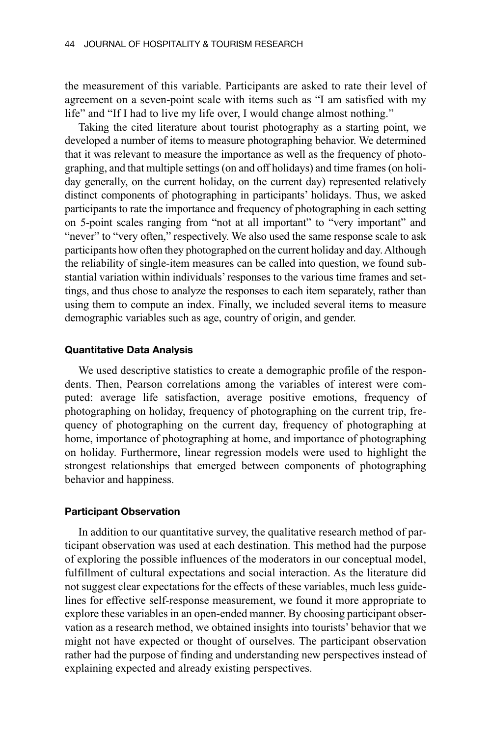the measurement of this variable. Participants are asked to rate their level of agreement on a seven-point scale with items such as "I am satisfied with my life" and "If I had to live my life over, I would change almost nothing."

Taking the cited literature about tourist photography as a starting point, we developed a number of items to measure photographing behavior. We determined that it was relevant to measure the importance as well as the frequency of photographing, and that multiple settings (on and off holidays) and time frames (on holiday generally, on the current holiday, on the current day) represented relatively distinct components of photographing in participants' holidays. Thus, we asked participants to rate the importance and frequency of photographing in each setting on 5-point scales ranging from "not at all important" to "very important" and "never" to "very often," respectively. We also used the same response scale to ask participants how often they photographed on the current holiday and day. Although the reliability of single-item measures can be called into question, we found substantial variation within individuals' responses to the various time frames and settings, and thus chose to analyze the responses to each item separately, rather than using them to compute an index. Finally, we included several items to measure demographic variables such as age, country of origin, and gender.

#### Quantitative Data Analysis

We used descriptive statistics to create a demographic profile of the respondents. Then, Pearson correlations among the variables of interest were computed: average life satisfaction, average positive emotions, frequency of photographing on holiday, frequency of photographing on the current trip, frequency of photographing on the current day, frequency of photographing at home, importance of photographing at home, and importance of photographing on holiday. Furthermore, linear regression models were used to highlight the strongest relationships that emerged between components of photographing behavior and happiness.

#### Participant Observation

In addition to our quantitative survey, the qualitative research method of participant observation was used at each destination. This method had the purpose of exploring the possible influences of the moderators in our conceptual model, fulfillment of cultural expectations and social interaction. As the literature did not suggest clear expectations for the effects of these variables, much less guidelines for effective self-response measurement, we found it more appropriate to explore these variables in an open-ended manner. By choosing participant observation as a research method, we obtained insights into tourists' behavior that we might not have expected or thought of ourselves. The participant observation rather had the purpose of finding and understanding new perspectives instead of explaining expected and already existing perspectives.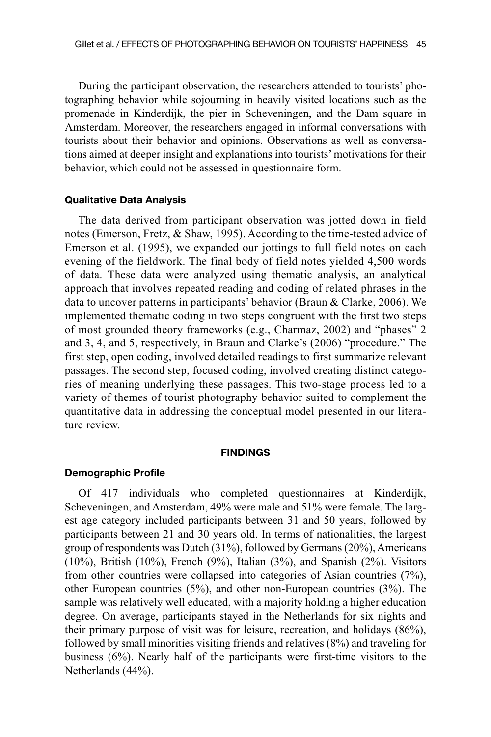During the participant observation, the researchers attended to tourists' photographing behavior while sojourning in heavily visited locations such as the promenade in Kinderdijk, the pier in Scheveningen, and the Dam square in Amsterdam. Moreover, the researchers engaged in informal conversations with tourists about their behavior and opinions. Observations as well as conversations aimed at deeper insight and explanations into tourists' motivations for their behavior, which could not be assessed in questionnaire form.

#### Qualitative Data Analysis

The data derived from participant observation was jotted down in field notes (Emerson, Fretz, & Shaw, 1995). According to the time-tested advice of Emerson et al. (1995), we expanded our jottings to full field notes on each evening of the fieldwork. The final body of field notes yielded 4,500 words of data. These data were analyzed using thematic analysis, an analytical approach that involves repeated reading and coding of related phrases in the data to uncover patterns in participants' behavior (Braun & Clarke, 2006). We implemented thematic coding in two steps congruent with the first two steps of most grounded theory frameworks (e.g., Charmaz, 2002) and "phases" 2 and 3, 4, and 5, respectively, in Braun and Clarke's (2006) "procedure." The first step, open coding, involved detailed readings to first summarize relevant passages. The second step, focused coding, involved creating distinct categories of meaning underlying these passages. This two-stage process led to a variety of themes of tourist photography behavior suited to complement the quantitative data in addressing the conceptual model presented in our literature review.

## **FINDINGS**

#### Demographic Profile

Of 417 individuals who completed questionnaires at Kinderdijk, Scheveningen, and Amsterdam, 49% were male and 51% were female. The largest age category included participants between 31 and 50 years, followed by participants between 21 and 30 years old. In terms of nationalities, the largest group of respondents was Dutch (31%), followed by Germans (20%), Americans (10%), British (10%), French (9%), Italian (3%), and Spanish (2%). Visitors from other countries were collapsed into categories of Asian countries (7%), other European countries (5%), and other non-European countries (3%). The sample was relatively well educated, with a majority holding a higher education degree. On average, participants stayed in the Netherlands for six nights and their primary purpose of visit was for leisure, recreation, and holidays (86%), followed by small minorities visiting friends and relatives (8%) and traveling for business (6%). Nearly half of the participants were first-time visitors to the Netherlands (44%).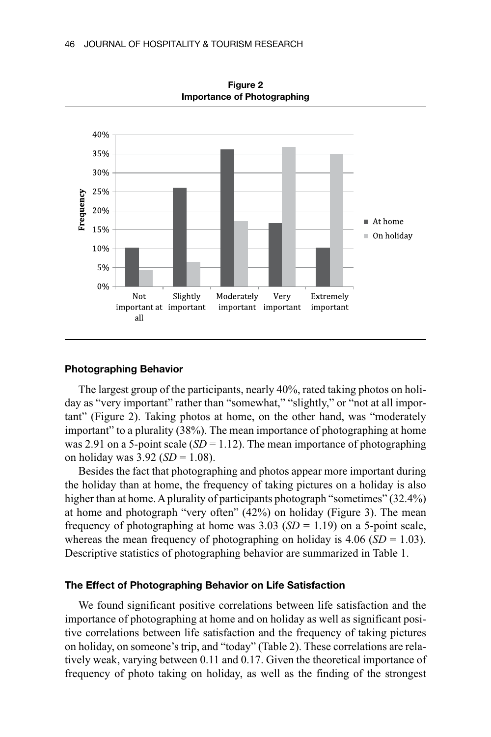

Figure 2 Importance of Photographing

#### Photographing Behavior

The largest group of the participants, nearly 40%, rated taking photos on holiday as "very important" rather than "somewhat," "slightly," or "not at all important" (Figure 2). Taking photos at home, on the other hand, was "moderately important" to a plurality (38%). The mean importance of photographing at home was 2.91 on a 5-point scale  $(SD = 1.12)$ . The mean importance of photographing on holiday was 3.92 (*SD* = 1.08).

Besides the fact that photographing and photos appear more important during the holiday than at home, the frequency of taking pictures on a holiday is also higher than at home. A plurality of participants photograph "sometimes" (32.4%) at home and photograph "very often" (42%) on holiday (Figure 3). The mean frequency of photographing at home was  $3.03$  (*SD* = 1.19) on a 5-point scale, whereas the mean frequency of photographing on holiday is  $4.06$  (*SD* = 1.03). Descriptive statistics of photographing behavior are summarized in Table 1.

#### The Effect of Photographing Behavior on Life Satisfaction

We found significant positive correlations between life satisfaction and the importance of photographing at home and on holiday as well as significant positive correlations between life satisfaction and the frequency of taking pictures on holiday, on someone's trip, and "today" (Table 2). These correlations are relatively weak, varying between 0.11 and 0.17. Given the theoretical importance of frequency of photo taking on holiday, as well as the finding of the strongest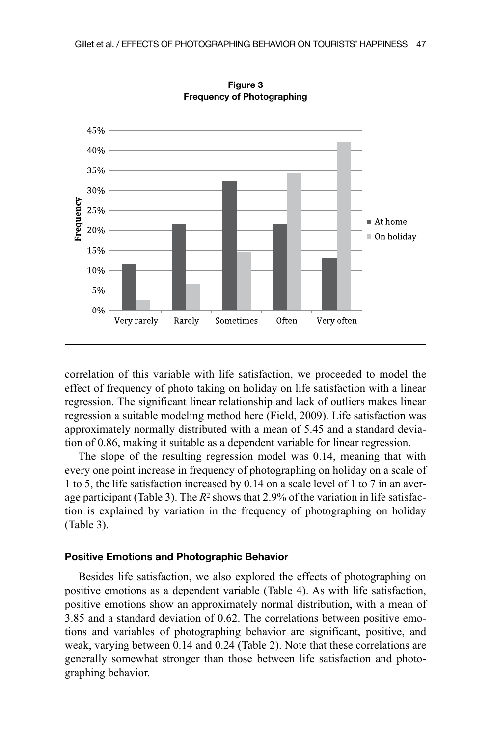

Figure 3 Frequency of Photographing

correlation of this variable with life satisfaction, we proceeded to model the effect of frequency of photo taking on holiday on life satisfaction with a linear regression. The significant linear relationship and lack of outliers makes linear regression a suitable modeling method here (Field, 2009). Life satisfaction was approximately normally distributed with a mean of 5.45 and a standard deviation of 0.86, making it suitable as a dependent variable for linear regression.

The slope of the resulting regression model was 0.14, meaning that with every one point increase in frequency of photographing on holiday on a scale of 1 to 5, the life satisfaction increased by 0.14 on a scale level of 1 to 7 in an average participant (Table 3). The  $R^2$  shows that 2.9% of the variation in life satisfaction is explained by variation in the frequency of photographing on holiday (Table 3).

#### Positive Emotions and Photographic Behavior

Besides life satisfaction, we also explored the effects of photographing on positive emotions as a dependent variable (Table 4). As with life satisfaction, positive emotions show an approximately normal distribution, with a mean of 3.85 and a standard deviation of 0.62. The correlations between positive emotions and variables of photographing behavior are significant, positive, and weak, varying between 0.14 and 0.24 (Table 2). Note that these correlations are generally somewhat stronger than those between life satisfaction and photographing behavior.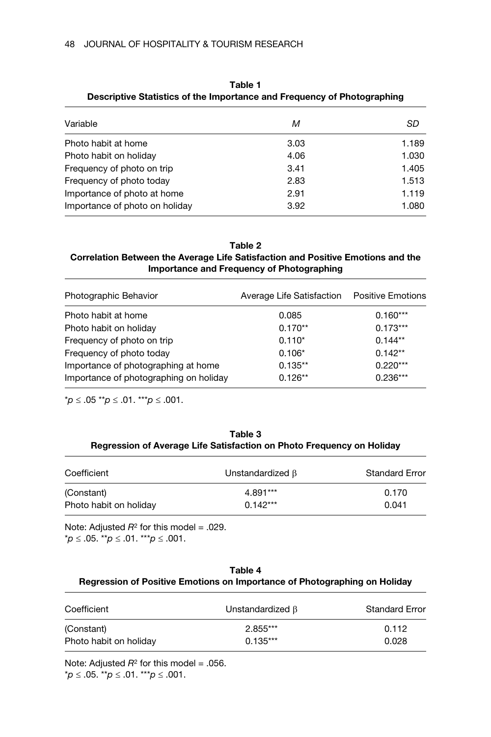| Variable                       | М    | SD    |  |
|--------------------------------|------|-------|--|
| Photo habit at home            | 3.03 | 1.189 |  |
| Photo habit on holiday         | 4.06 | 1.030 |  |
| Frequency of photo on trip     | 3.41 | 1.405 |  |
| Frequency of photo today       | 2.83 | 1.513 |  |
| Importance of photo at home    | 2.91 | 1.119 |  |
| Importance of photo on holiday | 3.92 | 1.080 |  |

Table 1 Descriptive Statistics of the Importance and Frequency of Photographing

## Table 2 Correlation Between the Average Life Satisfaction and Positive Emotions and the Importance and Frequency of Photographing

| Photographic Behavior                  | Average Life Satisfaction  Positive Emotions |            |
|----------------------------------------|----------------------------------------------|------------|
| Photo habit at home                    | 0.085                                        | $0.160***$ |
| Photo habit on holiday                 | $0.170**$                                    | $0.173***$ |
| Frequency of photo on trip             | $0.110*$                                     | $0.144**$  |
| Frequency of photo today               | $0.106*$                                     | $0.142**$  |
| Importance of photographing at home    | $0.135**$                                    | $0.220***$ |
| Importance of photographing on holiday | $0.126**$                                    | $0.236***$ |

\**p* ≤ .05 \*\**p* ≤ .01. \*\*\**p* ≤ .001.

## Table 3 Regression of Average Life Satisfaction on Photo Frequency on Holiday

| Coefficient            | Unstandardized $\beta$ | <b>Standard Error</b> |
|------------------------|------------------------|-----------------------|
| (Constant)             | 4.891***               | 0.170                 |
| Photo habit on holiday | $0.142***$             | 0.041                 |

Note: Adjusted  $R^2$  for this model = .029. \**p* ≤ .05. \*\**p* ≤ .01. \*\*\**p* ≤ .001.

| Table 4                                                                   |
|---------------------------------------------------------------------------|
| Regression of Positive Emotions on Importance of Photographing on Holiday |

| Coefficient            | Unstandardized $\beta$ | <b>Standard Error</b> |
|------------------------|------------------------|-----------------------|
| (Constant)             | $2.855***$             | 0.112                 |
| Photo habit on holiday | $0.135***$             | 0.028                 |

Note: Adjusted  $R^2$  for this model = .056. \**p* ≤ .05. \*\**p* ≤ .01. \*\*\**p* ≤ .001.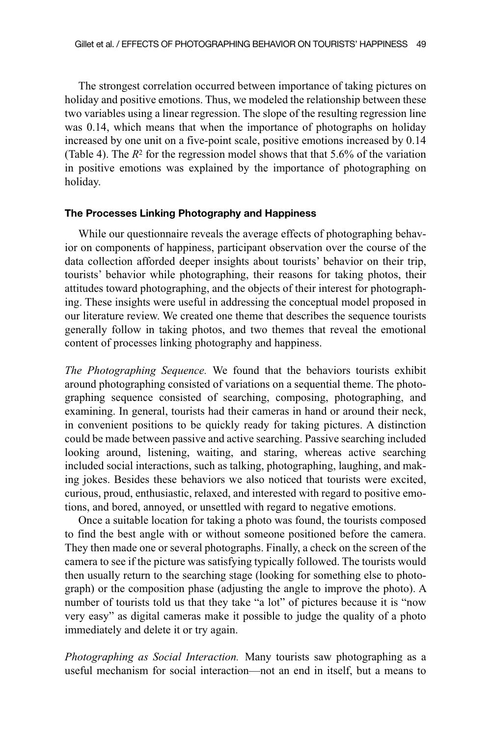The strongest correlation occurred between importance of taking pictures on holiday and positive emotions. Thus, we modeled the relationship between these two variables using a linear regression. The slope of the resulting regression line was 0.14, which means that when the importance of photographs on holiday increased by one unit on a five-point scale, positive emotions increased by 0.14 (Table 4). The  $R^2$  for the regression model shows that that 5.6% of the variation in positive emotions was explained by the importance of photographing on holiday.

#### The Processes Linking Photography and Happiness

While our questionnaire reveals the average effects of photographing behavior on components of happiness, participant observation over the course of the data collection afforded deeper insights about tourists' behavior on their trip, tourists' behavior while photographing, their reasons for taking photos, their attitudes toward photographing, and the objects of their interest for photographing. These insights were useful in addressing the conceptual model proposed in our literature review. We created one theme that describes the sequence tourists generally follow in taking photos, and two themes that reveal the emotional content of processes linking photography and happiness.

*The Photographing Sequence.* We found that the behaviors tourists exhibit around photographing consisted of variations on a sequential theme. The photographing sequence consisted of searching, composing, photographing, and examining. In general, tourists had their cameras in hand or around their neck, in convenient positions to be quickly ready for taking pictures. A distinction could be made between passive and active searching. Passive searching included looking around, listening, waiting, and staring, whereas active searching included social interactions, such as talking, photographing, laughing, and making jokes. Besides these behaviors we also noticed that tourists were excited, curious, proud, enthusiastic, relaxed, and interested with regard to positive emotions, and bored, annoyed, or unsettled with regard to negative emotions.

Once a suitable location for taking a photo was found, the tourists composed to find the best angle with or without someone positioned before the camera. They then made one or several photographs. Finally, a check on the screen of the camera to see if the picture was satisfying typically followed. The tourists would then usually return to the searching stage (looking for something else to photograph) or the composition phase (adjusting the angle to improve the photo). A number of tourists told us that they take "a lot" of pictures because it is "now very easy" as digital cameras make it possible to judge the quality of a photo immediately and delete it or try again.

*Photographing as Social Interaction.* Many tourists saw photographing as a useful mechanism for social interaction—not an end in itself, but a means to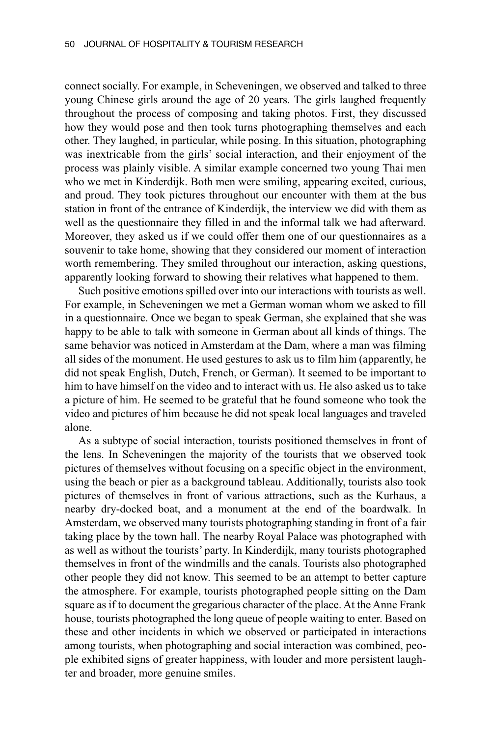connect socially. For example, in Scheveningen, we observed and talked to three young Chinese girls around the age of 20 years. The girls laughed frequently throughout the process of composing and taking photos. First, they discussed how they would pose and then took turns photographing themselves and each other. They laughed, in particular, while posing. In this situation, photographing was inextricable from the girls' social interaction, and their enjoyment of the process was plainly visible. A similar example concerned two young Thai men who we met in Kinderdijk. Both men were smiling, appearing excited, curious, and proud. They took pictures throughout our encounter with them at the bus station in front of the entrance of Kinderdijk, the interview we did with them as well as the questionnaire they filled in and the informal talk we had afterward. Moreover, they asked us if we could offer them one of our questionnaires as a souvenir to take home, showing that they considered our moment of interaction worth remembering. They smiled throughout our interaction, asking questions, apparently looking forward to showing their relatives what happened to them.

Such positive emotions spilled over into our interactions with tourists as well. For example, in Scheveningen we met a German woman whom we asked to fill in a questionnaire. Once we began to speak German, she explained that she was happy to be able to talk with someone in German about all kinds of things. The same behavior was noticed in Amsterdam at the Dam, where a man was filming all sides of the monument. He used gestures to ask us to film him (apparently, he did not speak English, Dutch, French, or German). It seemed to be important to him to have himself on the video and to interact with us. He also asked us to take a picture of him. He seemed to be grateful that he found someone who took the video and pictures of him because he did not speak local languages and traveled alone.

As a subtype of social interaction, tourists positioned themselves in front of the lens. In Scheveningen the majority of the tourists that we observed took pictures of themselves without focusing on a specific object in the environment, using the beach or pier as a background tableau. Additionally, tourists also took pictures of themselves in front of various attractions, such as the Kurhaus, a nearby dry-docked boat, and a monument at the end of the boardwalk. In Amsterdam, we observed many tourists photographing standing in front of a fair taking place by the town hall. The nearby Royal Palace was photographed with as well as without the tourists' party. In Kinderdijk, many tourists photographed themselves in front of the windmills and the canals. Tourists also photographed other people they did not know. This seemed to be an attempt to better capture the atmosphere. For example, tourists photographed people sitting on the Dam square as if to document the gregarious character of the place. At the Anne Frank house, tourists photographed the long queue of people waiting to enter. Based on these and other incidents in which we observed or participated in interactions among tourists, when photographing and social interaction was combined, people exhibited signs of greater happiness, with louder and more persistent laughter and broader, more genuine smiles.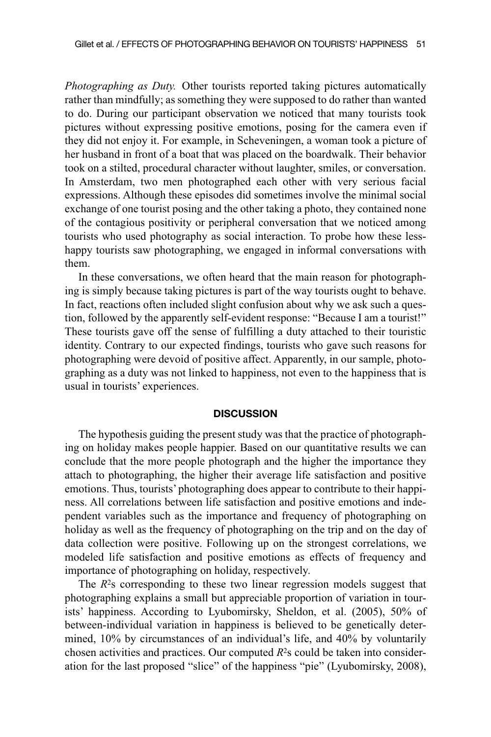*Photographing as Duty.* Other tourists reported taking pictures automatically rather than mindfully; as something they were supposed to do rather than wanted to do. During our participant observation we noticed that many tourists took pictures without expressing positive emotions, posing for the camera even if they did not enjoy it. For example, in Scheveningen, a woman took a picture of her husband in front of a boat that was placed on the boardwalk. Their behavior took on a stilted, procedural character without laughter, smiles, or conversation. In Amsterdam, two men photographed each other with very serious facial expressions. Although these episodes did sometimes involve the minimal social exchange of one tourist posing and the other taking a photo, they contained none of the contagious positivity or peripheral conversation that we noticed among tourists who used photography as social interaction. To probe how these lesshappy tourists saw photographing, we engaged in informal conversations with them.

In these conversations, we often heard that the main reason for photographing is simply because taking pictures is part of the way tourists ought to behave. In fact, reactions often included slight confusion about why we ask such a question, followed by the apparently self-evident response: "Because I am a tourist!" These tourists gave off the sense of fulfilling a duty attached to their touristic identity. Contrary to our expected findings, tourists who gave such reasons for photographing were devoid of positive affect. Apparently, in our sample, photographing as a duty was not linked to happiness, not even to the happiness that is usual in tourists' experiences.

#### **DISCUSSION**

The hypothesis guiding the present study was that the practice of photographing on holiday makes people happier. Based on our quantitative results we can conclude that the more people photograph and the higher the importance they attach to photographing, the higher their average life satisfaction and positive emotions. Thus, tourists' photographing does appear to contribute to their happiness. All correlations between life satisfaction and positive emotions and independent variables such as the importance and frequency of photographing on holiday as well as the frequency of photographing on the trip and on the day of data collection were positive. Following up on the strongest correlations, we modeled life satisfaction and positive emotions as effects of frequency and importance of photographing on holiday, respectively.

The  $R<sup>2</sup>s$  corresponding to these two linear regression models suggest that photographing explains a small but appreciable proportion of variation in tourists' happiness. According to Lyubomirsky, Sheldon, et al. (2005), 50% of between-individual variation in happiness is believed to be genetically determined, 10% by circumstances of an individual's life, and 40% by voluntarily chosen activities and practices. Our computed  $R<sup>2</sup>$ s could be taken into consideration for the last proposed "slice" of the happiness "pie" (Lyubomirsky, 2008),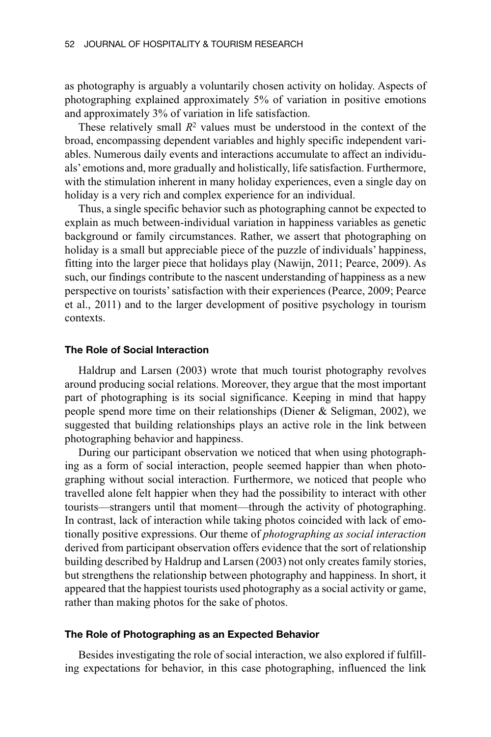as photography is arguably a voluntarily chosen activity on holiday. Aspects of photographing explained approximately 5% of variation in positive emotions and approximately 3% of variation in life satisfaction.

These relatively small *R*2 values must be understood in the context of the broad, encompassing dependent variables and highly specific independent variables. Numerous daily events and interactions accumulate to affect an individuals' emotions and, more gradually and holistically, life satisfaction. Furthermore, with the stimulation inherent in many holiday experiences, even a single day on holiday is a very rich and complex experience for an individual.

Thus, a single specific behavior such as photographing cannot be expected to explain as much between-individual variation in happiness variables as genetic background or family circumstances. Rather, we assert that photographing on holiday is a small but appreciable piece of the puzzle of individuals' happiness, fitting into the larger piece that holidays play (Nawijn, 2011; Pearce, 2009). As such, our findings contribute to the nascent understanding of happiness as a new perspective on tourists' satisfaction with their experiences (Pearce, 2009; Pearce et al., 2011) and to the larger development of positive psychology in tourism contexts.

#### The Role of Social Interaction

Haldrup and Larsen (2003) wrote that much tourist photography revolves around producing social relations. Moreover, they argue that the most important part of photographing is its social significance. Keeping in mind that happy people spend more time on their relationships (Diener & Seligman, 2002), we suggested that building relationships plays an active role in the link between photographing behavior and happiness.

During our participant observation we noticed that when using photographing as a form of social interaction, people seemed happier than when photographing without social interaction. Furthermore, we noticed that people who travelled alone felt happier when they had the possibility to interact with other tourists—strangers until that moment—through the activity of photographing. In contrast, lack of interaction while taking photos coincided with lack of emotionally positive expressions. Our theme of *photographing as social interaction* derived from participant observation offers evidence that the sort of relationship building described by Haldrup and Larsen (2003) not only creates family stories, but strengthens the relationship between photography and happiness. In short, it appeared that the happiest tourists used photography as a social activity or game, rather than making photos for the sake of photos.

#### The Role of Photographing as an Expected Behavior

Besides investigating the role of social interaction, we also explored if fulfilling expectations for behavior, in this case photographing, influenced the link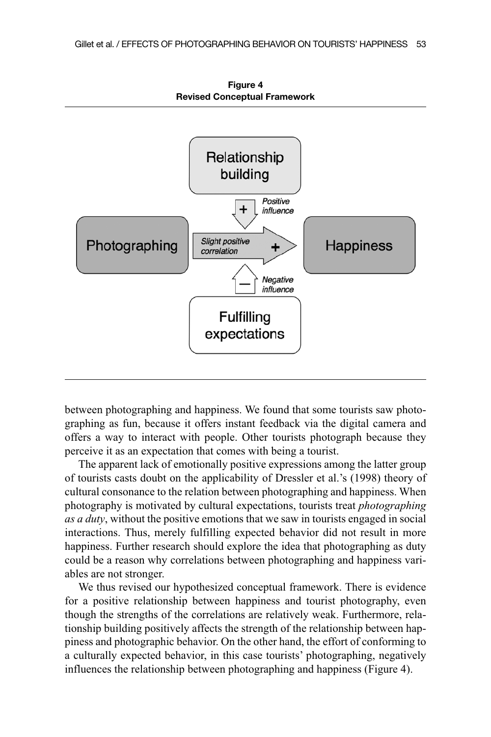

Figure 4 Revised Conceptual Framework

between photographing and happiness. We found that some tourists saw photographing as fun, because it offers instant feedback via the digital camera and offers a way to interact with people. Other tourists photograph because they perceive it as an expectation that comes with being a tourist.

The apparent lack of emotionally positive expressions among the latter group of tourists casts doubt on the applicability of Dressler et al.'s (1998) theory of cultural consonance to the relation between photographing and happiness. When photography is motivated by cultural expectations, tourists treat *photographing as a duty*, without the positive emotions that we saw in tourists engaged in social interactions. Thus, merely fulfilling expected behavior did not result in more happiness. Further research should explore the idea that photographing as duty could be a reason why correlations between photographing and happiness variables are not stronger.

We thus revised our hypothesized conceptual framework. There is evidence for a positive relationship between happiness and tourist photography, even though the strengths of the correlations are relatively weak. Furthermore, relationship building positively affects the strength of the relationship between happiness and photographic behavior. On the other hand, the effort of conforming to a culturally expected behavior, in this case tourists' photographing, negatively influences the relationship between photographing and happiness (Figure 4).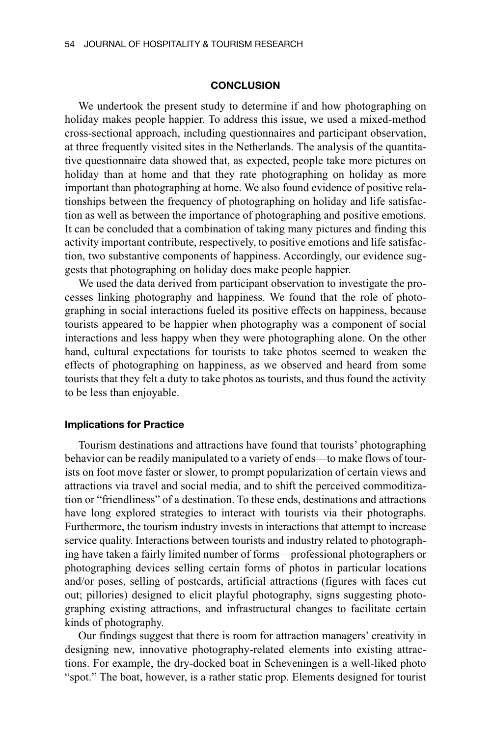## **CONCLUSION**

We undertook the present study to determine if and how photographing on holiday makes people happier. To address this issue, we used a mixed-method cross-sectional approach, including questionnaires and participant observation, at three frequently visited sites in the Netherlands. The analysis of the quantitative questionnaire data showed that, as expected, people take more pictures on holiday than at home and that they rate photographing on holiday as more important than photographing at home. We also found evidence of positive relationships between the frequency of photographing on holiday and life satisfaction as well as between the importance of photographing and positive emotions. It can be concluded that a combination of taking many pictures and finding this activity important contribute, respectively, to positive emotions and life satisfaction, two substantive components of happiness. Accordingly, our evidence suggests that photographing on holiday does make people happier.

We used the data derived from participant observation to investigate the processes linking photography and happiness. We found that the role of photographing in social interactions fueled its positive effects on happiness, because tourists appeared to be happier when photography was a component of social interactions and less happy when they were photographing alone. On the other hand, cultural expectations for tourists to take photos seemed to weaken the effects of photographing on happiness, as we observed and heard from some tourists that they felt a duty to take photos as tourists, and thus found the activity to be less than enjoyable.

#### Implications for Practice

Tourism destinations and attractions have found that tourists' photographing behavior can be readily manipulated to a variety of ends—to make flows of tourists on foot move faster or slower, to prompt popularization of certain views and attractions via travel and social media, and to shift the perceived commoditization or "friendliness" of a destination. To these ends, destinations and attractions have long explored strategies to interact with tourists via their photographs. Furthermore, the tourism industry invests in interactions that attempt to increase service quality. Interactions between tourists and industry related to photographing have taken a fairly limited number of forms—professional photographers or photographing devices selling certain forms of photos in particular locations and/or poses, selling of postcards, artificial attractions (figures with faces cut out; pillories) designed to elicit playful photography, signs suggesting photographing existing attractions, and infrastructural changes to facilitate certain kinds of photography.

Our findings suggest that there is room for attraction managers' creativity in designing new, innovative photography-related elements into existing attractions. For example, the dry-docked boat in Scheveningen is a well-liked photo "spot." The boat, however, is a rather static prop. Elements designed for tourist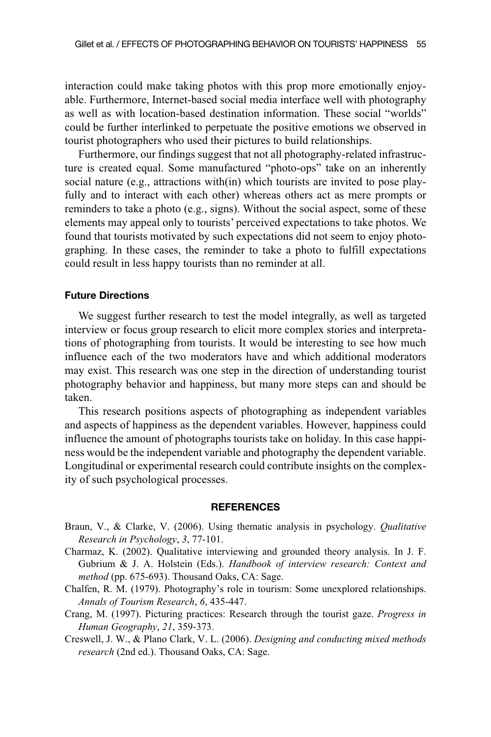interaction could make taking photos with this prop more emotionally enjoyable. Furthermore, Internet-based social media interface well with photography as well as with location-based destination information. These social "worlds" could be further interlinked to perpetuate the positive emotions we observed in tourist photographers who used their pictures to build relationships.

Furthermore, our findings suggest that not all photography-related infrastructure is created equal. Some manufactured "photo-ops" take on an inherently social nature (e.g., attractions with(in) which tourists are invited to pose playfully and to interact with each other) whereas others act as mere prompts or reminders to take a photo (e.g., signs). Without the social aspect, some of these elements may appeal only to tourists' perceived expectations to take photos. We found that tourists motivated by such expectations did not seem to enjoy photographing. In these cases, the reminder to take a photo to fulfill expectations could result in less happy tourists than no reminder at all.

#### Future Directions

We suggest further research to test the model integrally, as well as targeted interview or focus group research to elicit more complex stories and interpretations of photographing from tourists. It would be interesting to see how much influence each of the two moderators have and which additional moderators may exist. This research was one step in the direction of understanding tourist photography behavior and happiness, but many more steps can and should be taken.

This research positions aspects of photographing as independent variables and aspects of happiness as the dependent variables. However, happiness could influence the amount of photographs tourists take on holiday. In this case happiness would be the independent variable and photography the dependent variable. Longitudinal or experimental research could contribute insights on the complexity of such psychological processes.

#### **REFERENCES**

- Braun, V., & Clarke, V. (2006). Using thematic analysis in psychology. *Qualitative Research in Psychology*, *3*, 77-101.
- Charmaz, K. (2002). Qualitative interviewing and grounded theory analysis. In J. F. Gubrium & J. A. Holstein (Eds.). *Handbook of interview research: Context and method* (pp. 675-693). Thousand Oaks, CA: Sage.
- Chalfen, R. M. (1979). Photography's role in tourism: Some unexplored relationships. *Annals of Tourism Research*, *6*, 435-447.
- Crang, M. (1997). Picturing practices: Research through the tourist gaze. *Progress in Human Geography*, *21*, 359-373.
- Creswell, J. W., & Plano Clark, V. L. (2006). *Designing and conducting mixed methods research* (2nd ed.). Thousand Oaks, CA: Sage.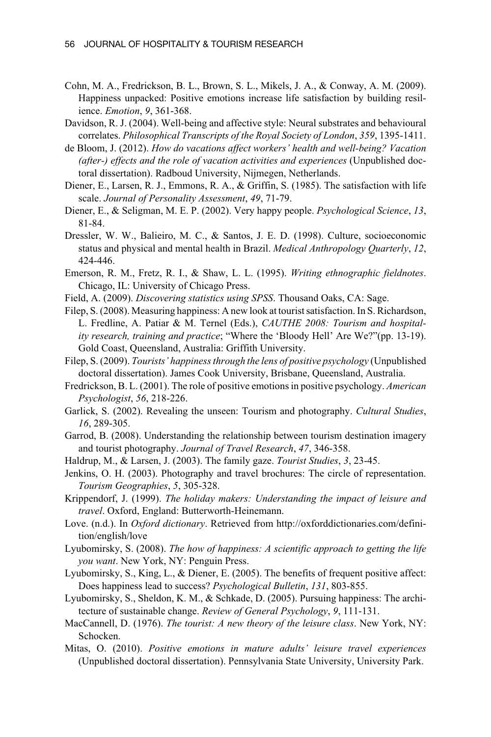- Cohn, M. A., Fredrickson, B. L., Brown, S. L., Mikels, J. A., & Conway, A. M. (2009). Happiness unpacked: Positive emotions increase life satisfaction by building resilience. *Emotion*, *9*, 361-368.
- Davidson, R. J. (2004). Well-being and affective style: Neural substrates and behavioural correlates. *Philosophical Transcripts of the Royal Society of London*, *359*, 1395-1411.
- de Bloom, J. (2012). *How do vacations affect workers' health and well-being? Vacation (after-) effects and the role of vacation activities and experiences* (Unpublished doctoral dissertation). Radboud University, Nijmegen, Netherlands.
- Diener, E., Larsen, R. J., Emmons, R. A., & Griffin, S. (1985). The satisfaction with life scale. *Journal of Personality Assessment*, *49*, 71-79.
- Diener, E., & Seligman, M. E. P. (2002). Very happy people. *Psychological Science*, *13*, 81-84.
- Dressler, W. W., Balieiro, M. C., & Santos, J. E. D. (1998). Culture, socioeconomic status and physical and mental health in Brazil. *Medical Anthropology Quarterly*, *12*, 424-446.
- Emerson, R. M., Fretz, R. I., & Shaw, L. L. (1995). *Writing ethnographic fieldnotes*. Chicago, IL: University of Chicago Press.
- Field, A. (2009). *Discovering statistics using SPSS*. Thousand Oaks, CA: Sage.
- Filep, S. (2008). Measuring happiness: A new look at tourist satisfaction. In S. Richardson, L. Fredline, A. Patiar & M. Ternel (Eds.), *CAUTHE 2008: Tourism and hospitality research, training and practice*; "Where the 'Bloody Hell' Are We?"(pp. 13-19). Gold Coast, Queensland, Australia: Griffith University.
- Filep, S. (2009). *Tourists' happiness through the lens of positive psychology* (Unpublished doctoral dissertation). James Cook University, Brisbane, Queensland, Australia.
- Fredrickson, B. L. (2001). The role of positive emotions in positive psychology. *American Psychologist*, *56*, 218-226.
- Garlick, S. (2002). Revealing the unseen: Tourism and photography. *Cultural Studies*, *16*, 289-305.
- Garrod, B. (2008). Understanding the relationship between tourism destination imagery and tourist photography. *Journal of Travel Research*, *47*, 346-358.
- Haldrup, M., & Larsen, J. (2003). The family gaze. *Tourist Studies*, *3*, 23-45.
- Jenkins, O. H. (2003). Photography and travel brochures: The circle of representation. *Tourism Geographies*, *5*, 305-328.
- Krippendorf, J. (1999). *The holiday makers: Understanding the impact of leisure and travel*. Oxford, England: Butterworth-Heinemann.
- Love. (n.d.). In *Oxford dictionary*. Retrieved from http://oxforddictionaries.com/definition/english/love
- Lyubomirsky, S. (2008). *The how of happiness: A scientific approach to getting the life you want*. New York, NY: Penguin Press.
- Lyubomirsky, S., King, L., & Diener, E. (2005). The benefits of frequent positive affect: Does happiness lead to success? *Psychological Bulletin*, *131*, 803-855.
- Lyubomirsky, S., Sheldon, K. M., & Schkade, D. (2005). Pursuing happiness: The architecture of sustainable change. *Review of General Psychology*, *9*, 111-131.
- MacCannell, D. (1976). *The tourist: A new theory of the leisure class*. New York, NY: Schocken.
- Mitas, O. (2010). *Positive emotions in mature adults' leisure travel experiences* (Unpublished doctoral dissertation). Pennsylvania State University, University Park.